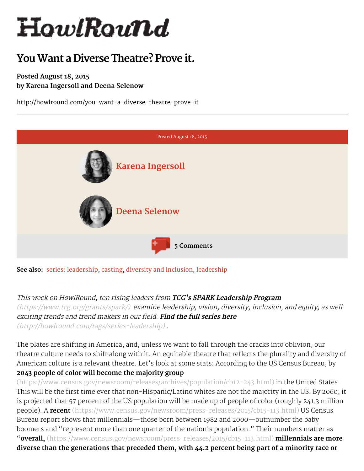# HowlRound

# You Want a Diverse Theatre? Prove it.

### Posted August 18, 2015 by Karena Ingersoll and Deena Selenow

http://howlround.com/you-want-a-diverse-theatre-prove-it



See also: series: [leadership](http://howlround.com/tags/leadership), [casting](http://howlround.com/tags/casting), diversity and [inclusion,](http://howlround.com/tags/diversity) leadership

This week on HowlRound, ten rising leaders from TCG's SPARK Leadership Program [\(https://www.tcg.org/grants/spark/\)](https://www.tcg.org/grants/spark/) examine leadership, vision, diversity, inclusion, and equity, as well exciting trends and trend makers in our field. Find the full series here

[\(http://howlround.com/tags/series-leadership\)](http://howlround.com/tags/series-leadership) .

The plates are shifting in America, and, unless we want to fall through the cracks into oblivion, our theatre culture needs to shift along with it. An equitable theatre that reflects the plurality and diversity of American culture is a relevant theatre. Let's look at some stats: According to the US Census Bureau, by 2043 people of color will become the majority group

[\(https://www.census.gov/newsroom/releases/archives/population/cb12-243.html\)](https://www.census.gov/newsroom/releases/archives/population/cb12-243.html) in the United States. This will be the first time ever that non-Hispanic/Latino whites are not the majority in the US. By 2060, it is projected that 57 percent of the US population will be made up of people of color (roughly 241.3 million people). A recent [\(https://www.census.gov/newsroom/press-releases/2015/cb15-113.html\)](https://www.census.gov/newsroom/press-releases/2015/cb15-113.html) US Census Bureau report shows that millennials—those born between 1982 and 2000—outnumber the baby boomers and "represent more than one quarter of the nation's population." Their numbers matter as "**overall,** [\(https://www.census.gov/newsroom/press-releases/2015/cb15-113.html\)](https://www.census.gov/newsroom/press-releases/2015/cb15-113.html) millennials are more diverse than the generations that preceded them, with 44.2 percent being part of a minority race or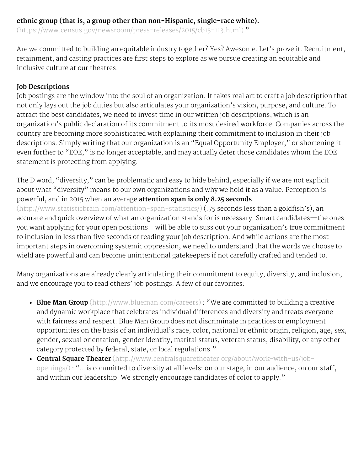# ethnic group (that is, a group other than non-Hispanic, single-race white).

[\(https://www.census.gov/newsroom/press-releases/2015/cb15-113.html\)](https://www.census.gov/newsroom/press-releases/2015/cb15-113.html) "

Are we committed to building an equitable industry together? Yes? Awesome. Let's prove it. Recruitment, retainment, and casting practices are first steps to explore as we pursue creating an equitable and inclusive culture at our theatres.

#### Job Descriptions

Job postings are the window into the soul of an organization. It takes real art to craft a job description that not only lays out the job duties but also articulates your organization's vision, purpose, and culture. To attract the best candidates, we need to invest time in our written job descriptions, which is an organization's public declaration of its commitment to its most desired workforce. Companies across the country are becoming more sophisticated with explaining their commitment to inclusion in their job descriptions. Simply writing that our organization is an "Equal Opportunity Employer," or shortening it even further to "EOE," is no longer acceptable, and may actually deter those candidates whom the EOE statement is protecting from applying.

The D word, "diversity," can be problematic and easy to hide behind, especially if we are not explicit about what "diversity" means to our own organizations and why we hold it as a value. Perception is powerful, and in 2015 when an average attention span is only 8.25 seconds [\(http://www.statisticbrain.com/attention-span-statistics/\)](http://www.statisticbrain.com/attention-span-statistics/) (.75 seconds less than a goldfish's), an accurate and quick overview of what an organization stands for is necessary. Smart candidates—the ones you want applying for your open positions—will be able to suss out your organization's true commitment to inclusion in less than five seconds of reading your job description. And while actions are the most important steps in overcoming systemic oppression, we need to understand that the words we choose to wield are powerful and can become unintentional gatekeepers if not carefully crafted and tended to.

Many organizations are already clearly articulating their commitment to equity, diversity, and inclusion, and we encourage you to read others' job postings. A few of our favorites:

- Blue Man Group [\(http://www.blueman.com/careers\)](http://www.blueman.com/careers) : "We are committed to building a creative and dynamic workplace that celebrates individual differences and diversity and treats everyone with fairness and respect. Blue Man Group does not discriminate in practices or employment opportunities on the basis of an individual's race, color, national or ethnic origin, religion, age, sex, gender, sexual orientation, gender identity, marital status, veteran status, disability, or any other category protected by federal, state, or local regulations."
- Central Square Theater [\(http://www.centralsquaretheater.org/about/work-with-us/job](http://www.centralsquaretheater.org/about/work-with-us/job-openings/)openings/) : "...is committed to diversity at all levels: on our stage, in our audience, on our staff, and within our leadership. We strongly encourage candidates of color to apply."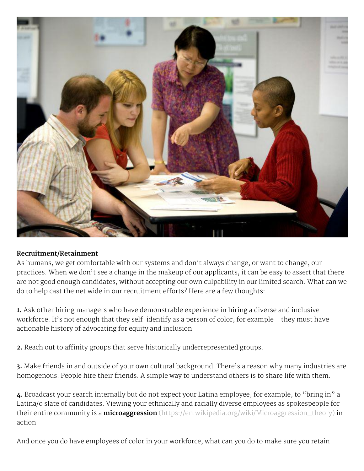

#### Recruitment/Retainment

As humans, we get comfortable with our systems and don't always change, or want to change, our practices. When we don't see a change in the makeup of our applicants, it can be easy to assert that there are not good enough candidates, without accepting our own culpability in our limited search. What can we do to help cast the net wide in our recruitment efforts? Here are a few thoughts:

1. Ask other hiring managers who have demonstrable experience in hiring a diverse and inclusive workforce. It's not enough that they self-identify as a person of color, for example—they must have actionable history of advocating for equity and inclusion.

2. Reach out to affinity groups that serve historically underrepresented groups.

3. Make friends in and outside of your own cultural background. There's a reason why many industries are homogenous. People hire their friends. A simple way to understand others is to share life with them.

4. Broadcast your search internally but do not expect your Latina employee, for example, to "bring in" a Latina/o slate of candidates. Viewing your ethnically and racially diverse employees as spokespeople for their entire community is a *microaggression* [\(https://en.wikipedia.org/wiki/Microaggression\\_theory\)](https://en.wikipedia.org/wiki/Microaggression_theory) in action.

And once you do have employees of color in your workforce, what can you do to make sure you retain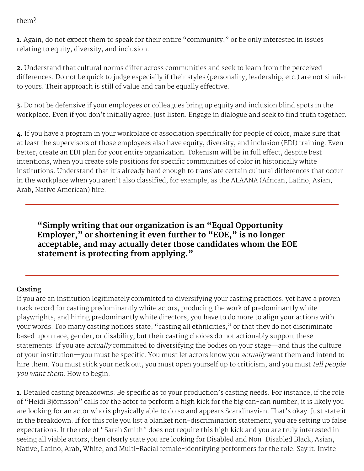## them?

1. Again, do not expect them to speak for their entire "community," or be only interested in issues relating to equity, diversity, and inclusion.

2. Understand that cultural norms differ across communities and seek to learn from the perceived differences. Do not be quick to judge especially if their styles (personality, leadership, etc.) are not similar to yours. Their approach is still of value and can be equally effective.

3. Do not be defensive if your employees or colleagues bring up equity and inclusion blind spots in the workplace. Even if you don't initially agree, just listen. Engage in dialogue and seek to find truth together.

4. If you have a program in your workplace or association specifically for people of color, make sure that at least the supervisors of those employees also have equity, diversity, and inclusion (EDI) training. Even better, create an EDI plan for your entire organization. Tokenism will be in full effect, despite best intentions, when you create sole positions for specific communities of color in historically white institutions. Understand that it's already hard enough to translate certain cultural differences that occur in the workplace when you aren't also classified, for example, as the ALAANA (African, Latino, Asian, Arab, Native American) hire.

"Simply writing that our organization is an "Equal Opportunity Employer, " or shortening it even further to "EOE, " is no longer acceptable, and may actually deter those candidates whom the EOE statement is protecting from applying."

# Casting

If you are an institution legitimately committed to diversifying your casting practices, yet have a proven track record for casting predominantly white actors, producing the work of predominantly white playwrights, and hiring predominantly white directors, you have to do more to align your actions with your words. Too many casting notices state, "casting all ethnicities," or that they do not discriminate based upon race, gender, or disability, but their casting choices do not actionably support these statements. If you are *actually* committed to diversifying the bodies on your stage—and thus the culture of your institution—you must be specific. You must let actors know you actually want them and intend to hire them. You must stick your neck out, you must open yourself up to criticism, and you must tell people you want them. How to begin:

1. Detailed casting breakdowns: Be specific as to your production's casting needs. For instance, if the role of "Heidi Björnsson" calls for the actor to perform a high kick for the big can-can number, it is likely you are looking for an actor who is physically able to do so and appears Scandinavian. That's okay. Just state it in the breakdown. If for this role you list a blanket non-discrimination statement, you are setting up false expectations. If the role of "Sarah Smith" does not require this high kick and you are truly interested in seeing all viable actors, then clearly state you are looking for Disabled and Non-Disabled Black, Asian, Native, Latino, Arab, White, and Multi-Racial female-identifying performers for the role. Say it. Invite